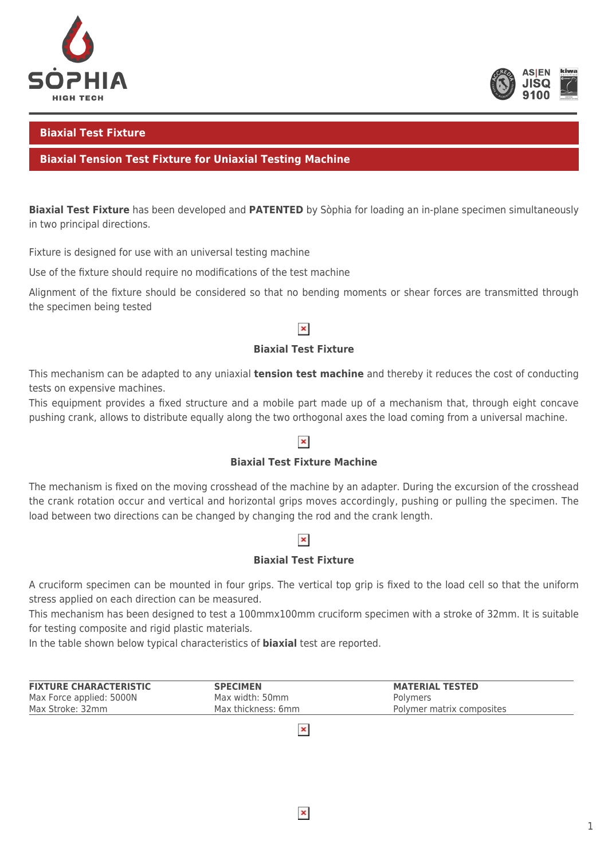



### **Biaxial Test Fixture**

### **Biaxial Tension Test Fixture for Uniaxial Testing Machine**

**Biaxial Test Fixture** has been developed and **PATENTED** by Sòphia for loading an in-plane specimen simultaneously in two principal directions.

Fixture is designed for use with an universal testing machine

Use of the fixture should require no modifications of the test machine

Alignment of the fixture should be considered so that no bending moments or shear forces are transmitted through the specimen being tested

## $\pmb{\times}$

#### **Biaxial Test Fixture**

This mechanism can be adapted to any uniaxial **tension test machine** and thereby it reduces the cost of conducting tests on expensive machines.

This equipment provides a fixed structure and a mobile part made up of a mechanism that, through eight concave pushing crank, allows to distribute equally along the two orthogonal axes the load coming from a universal machine.

### $\pmb{\times}$

#### **Biaxial Test Fixture Machine**

The mechanism is fixed on the moving crosshead of the machine by an adapter. During the excursion of the crosshead the crank rotation occur and vertical and horizontal grips moves accordingly, pushing or pulling the specimen. The load between two directions can be changed by changing the rod and the crank length.

### $\pmb{\times}$

#### **Biaxial Test Fixture**

A cruciform specimen can be mounted in four grips. The vertical top grip is fixed to the load cell so that the uniform stress applied on each direction can be measured.

This mechanism has been designed to test a 100mmx100mm cruciform specimen with a stroke of 32mm. It is suitable for testing composite and rigid plastic materials.

In the table shown below typical characteristics of **biaxial** test are reported.

| <b>FIXTURE CHARACTERISTIC</b> | <b>SPECIMEN</b>    | <b>MATERIAL TESTED</b>    |
|-------------------------------|--------------------|---------------------------|
| Max Force applied: 5000N      | Max width: 50mm    | Polymers                  |
| Max Stroke: 32mm              | Max thickness: 6mm | Polymer matrix composites |

 $\pmb{\times}$